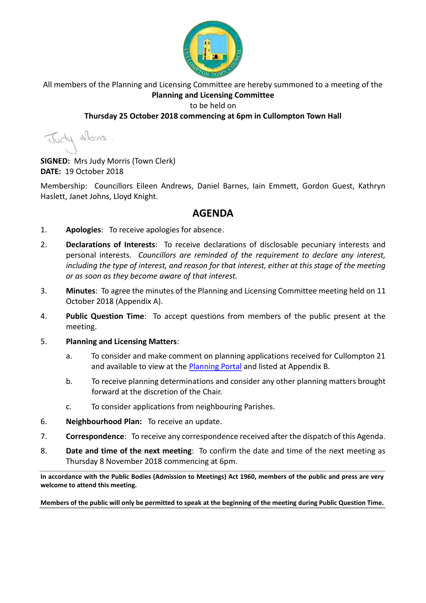

All members of the Planning and Licensing Committee are hereby summoned to a meeting of the **Planning and Licensing Committee**

#### to be held on

### **Thursday 25 October 2018 commencing at 6pm in Cullompton Town Hall**

Judy Mons

**SIGNED:** Mrs Judy Morris (Town Clerk) **DATE:** 19 October 2018

Membership: Councillors Eileen Andrews, Daniel Barnes, Iain Emmett, Gordon Guest, Kathryn Haslett, Janet Johns, Lloyd Knight.

### **AGENDA**

- 1. **Apologies**: To receive apologies for absence.
- 2. **Declarations of Interests**: To receive declarations of disclosable pecuniary interests and personal interests. *Councillors are reminded of the requirement to declare any interest, including the type of interest, and reason for that interest, either at this stage of the meeting or as soon as they become aware of that interest.*
- 3. **Minutes**: To agree the minutes of the Planning and Licensing Committee meeting held on 11 October 2018 (Appendix A).
- 4. **Public Question Time**: To accept questions from members of the public present at the meeting.
- 5. **Planning and Licensing Matters**:
	- a. To consider and make comment on planning applications received for Cullompton 21 and available to view at the [Planning Portal](https://planning.middevon.gov.uk/online-applications/search.do?action=simple&searchType=BuildingControl) and listed at Appendix B.
	- b. To receive planning determinations and consider any other planning matters brought forward at the discretion of the Chair.
	- c. To consider applications from neighbouring Parishes.
- 6. **Neighbourhood Plan:** To receive an update.
- 7. **Correspondence**: To receive any correspondence received after the dispatch of this Agenda.
- 8. **Date and time of the next meeting**: To confirm the date and time of the next meeting as Thursday 8 November 2018 commencing at 6pm.

**In accordance with the Public Bodies (Admission to Meetings) Act 1960, members of the public and press are very welcome to attend this meeting.**

**Members of the public will only be permitted to speak at the beginning of the meeting during Public Question Time.**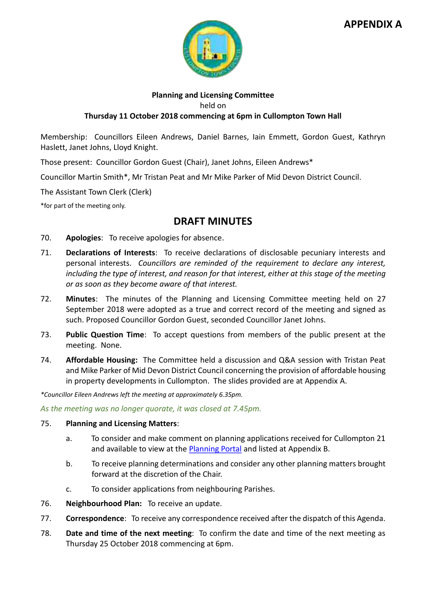### **APPENDIX A**



#### **Planning and Licensing Committee**

held on

#### **Thursday 11 October 2018 commencing at 6pm in Cullompton Town Hall**

Membership: Councillors Eileen Andrews, Daniel Barnes, Iain Emmett, Gordon Guest, Kathryn Haslett, Janet Johns, Lloyd Knight.

Those present: Councillor Gordon Guest (Chair), Janet Johns, Eileen Andrews\*

Councillor Martin Smith\*, Mr Tristan Peat and Mr Mike Parker of Mid Devon District Council.

The Assistant Town Clerk (Clerk)

\*for part of the meeting only.

### **DRAFT MINUTES**

- 70. **Apologies**: To receive apologies for absence.
- 71. **Declarations of Interests**: To receive declarations of disclosable pecuniary interests and personal interests. *Councillors are reminded of the requirement to declare any interest, including the type of interest, and reason for that interest, either at this stage of the meeting or as soon as they become aware of that interest.*
- 72. **Minutes**: The minutes of the Planning and Licensing Committee meeting held on 27 September 2018 were adopted as a true and correct record of the meeting and signed as such. Proposed Councillor Gordon Guest, seconded Councillor Janet Johns.
- 73. **Public Question Time**: To accept questions from members of the public present at the meeting. None.
- 74. **Affordable Housing:** The Committee held a discussion and Q&A session with Tristan Peat and Mike Parker of Mid Devon District Council concerning the provision of affordable housing in property developments in Cullompton. The slides provided are at Appendix A.

*\*Councillor Eileen Andrews left the meeting at approximately 6.35pm.*

*As the meeting was no longer quorate, it was closed at 7.45pm.*

#### 75. **Planning and Licensing Matters**:

- a. To consider and make comment on planning applications received for Cullompton 21 and available to view at the [Planning Portal](https://planning.middevon.gov.uk/online-applications/search.do?action=simple&searchType=BuildingControl) and listed at Appendix B.
- b. To receive planning determinations and consider any other planning matters brought forward at the discretion of the Chair.
- c. To consider applications from neighbouring Parishes.
- 76. **Neighbourhood Plan:** To receive an update.
- 77. **Correspondence**: To receive any correspondence received after the dispatch of this Agenda.
- 78. **Date and time of the next meeting**: To confirm the date and time of the next meeting as Thursday 25 October 2018 commencing at 6pm.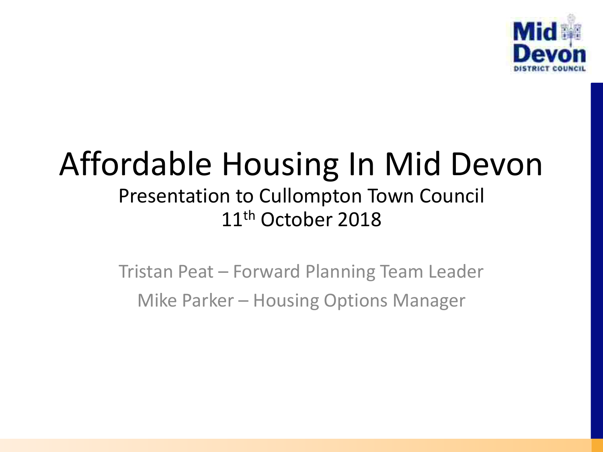

### Affordable Housing In Mid Devon Presentation to Cullompton Town Council 11<sup>th</sup> October 2018

Tristan Peat – Forward Planning Team Leader Mike Parker – Housing Options Manager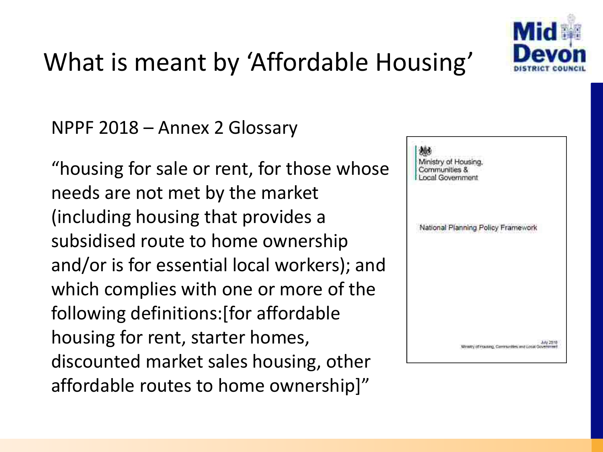

### What is meant by 'Affordable Housing'

NPPF 2018 – Annex 2 Glossary

"housing for sale or rent, for those whose needs are not met by the market (including housing that provides a subsidised route to home ownership and/or is for essential local workers); and which complies with one or more of the following definitions:[for affordable housing for rent, starter homes, discounted market sales housing, other affordable routes to home ownership]"

| Ministry of Housing.<br>Communities &<br>Local Government |                                   |                                                     |
|-----------------------------------------------------------|-----------------------------------|-----------------------------------------------------|
|                                                           | National Planning Policy Framewor |                                                     |
|                                                           |                                   |                                                     |
|                                                           |                                   |                                                     |
|                                                           |                                   | Messy of Hauting, Caminarities and Local Government |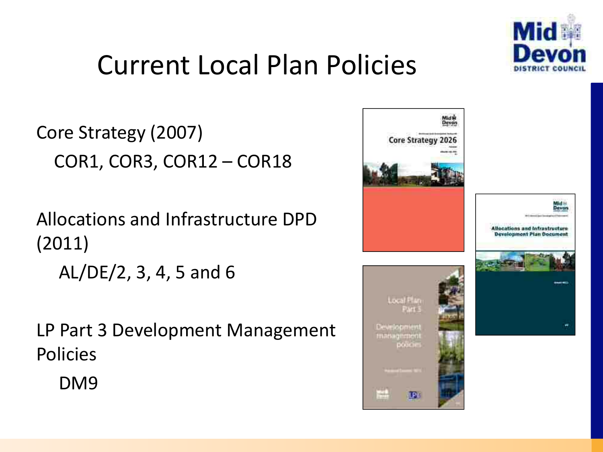

### Current Local Plan Policies

```
Core Strategy (2007) 
COR1, COR3, COR12 – COR18
```
Allocations and Infrastructure DPD (2011)

AL/DE/2, 3, 4, 5 and 6

LP Part 3 Development Management Policies

DM9

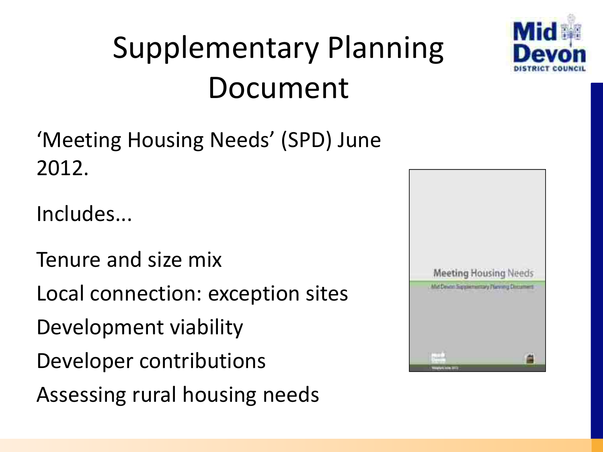

## Supplementary Planning Document

'Meeting Housing Needs' (SPD) June 2012.

Includes...

Tenure and size mix Local connection: exception sites Development viability Developer contributions Assessing rural housing needs

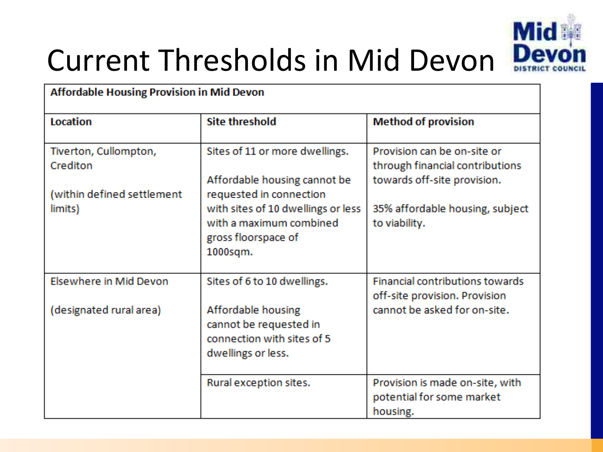

### Current Thresholds in Mid Devon

| <b>Affordable Housing Provision in Mid Devon</b> |                                                                                                                             |                                                                                               |  |  |  |
|--------------------------------------------------|-----------------------------------------------------------------------------------------------------------------------------|-----------------------------------------------------------------------------------------------|--|--|--|
| Location                                         | <b>Site threshold</b>                                                                                                       | <b>Method of provision</b>                                                                    |  |  |  |
| Tiverton, Cullompton,<br>Crediton                | Sites of 11 or more dwellings.<br>Affordable housing cannot be                                                              | Provision can be on-site or<br>through financial contributions<br>towards off-site provision. |  |  |  |
| (within defined settlement<br>limits)            | requested in connection<br>with sites of 10 dwellings or less<br>with a maximum combined<br>gross floorspace of<br>1000sqm. | 35% affordable housing, subject<br>to viability.                                              |  |  |  |
| Elsewhere in Mid Devon                           | Sites of 6 to 10 dwellings.                                                                                                 | Financial contributions towards<br>off-site provision. Provision                              |  |  |  |
| (designated rural area)                          | Affordable housing<br>cannot be requested in<br>connection with sites of 5<br>dwellings or less.                            | cannot be asked for on-site.                                                                  |  |  |  |
|                                                  | Rural exception sites.                                                                                                      | Provision is made on-site, with<br>potential for some market<br>housing.                      |  |  |  |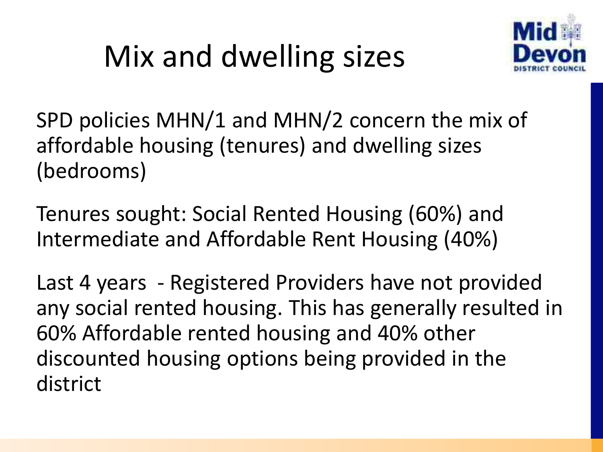## Mix and dwelling sizes



SPD policies MHN/1 and MHN/2 concern the mix of affordable housing (tenures) and dwelling sizes (bedrooms)

Tenures sought: Social Rented Housing (60%) and Intermediate and Affordable Rent Housing (40%)

Last 4 years - Registered Providers have not provided any social rented housing. This has generally resulted in 60% Affordable rented housing and 40% other discounted housing options being provided in the district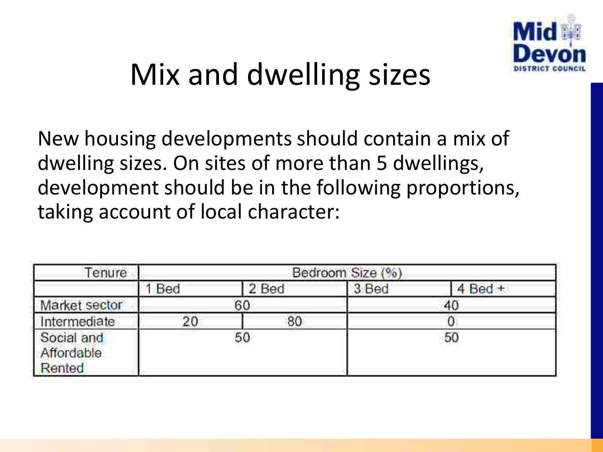

### Mix and dwelling sizes

New housing developments should contain a mix of dwelling sizes. On sites of more than 5 dwellings, development should be in the following proportions, taking account of local character:

| enure                              | Bedroom Size (%) |          |       |             |
|------------------------------------|------------------|----------|-------|-------------|
|                                    | Bed              | 2 Bed    | 3 Bed | $4$ Bed $+$ |
| Market sector                      |                  | 60<br>40 |       |             |
| Intermediate                       | 20               | 80       |       |             |
| Social and<br>Affordable<br>Rented | 50               |          |       | 50          |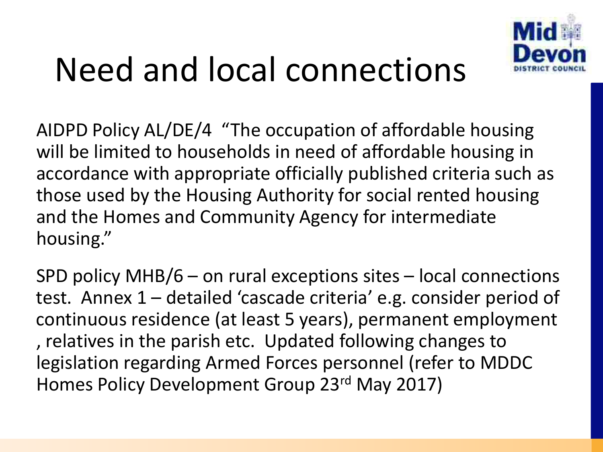

# Need and local connections

AIDPD Policy AL/DE/4 "The occupation of affordable housing will be limited to households in need of affordable housing in accordance with appropriate officially published criteria such as those used by the Housing Authority for social rented housing and the Homes and Community Agency for intermediate housing."

SPD policy MHB/6 – on rural exceptions sites – local connections test. Annex 1 – detailed 'cascade criteria' e.g. consider period of continuous residence (at least 5 years), permanent employment , relatives in the parish etc. Updated following changes to legislation regarding Armed Forces personnel (refer to MDDC Homes Policy Development Group 23rd May 2017)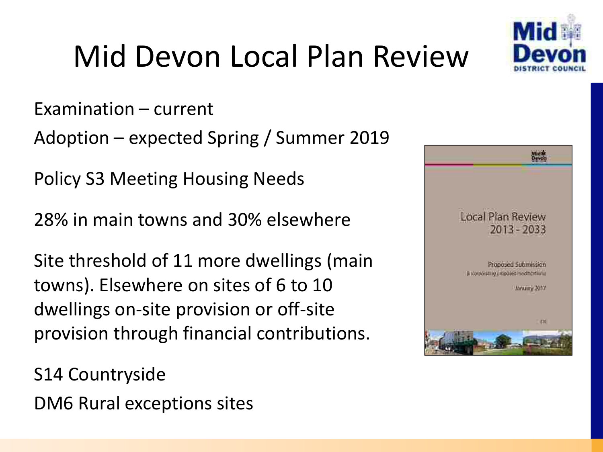

## Mid Devon Local Plan Review

Examination – current

Adoption – expected Spring / Summer 2019

Policy S3 Meeting Housing Needs

28% in main towns and 30% elsewhere

Site threshold of 11 more dwellings (main towns). Elsewhere on sites of 6 to 10 dwellings on-site provision or off-site provision through financial contributions.

S14 Countryside DM6 Rural exceptions sites

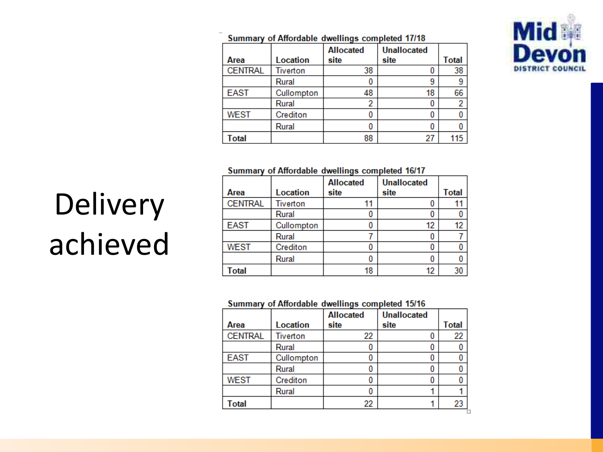

|  | Summary of Affordable dwellings completed 17/18 |  |  |  |
|--|-------------------------------------------------|--|--|--|
|--|-------------------------------------------------|--|--|--|

| Area           | Location   | <b>Allocated</b><br>site | <b>Unallocated</b><br>site | <b>Total</b> |
|----------------|------------|--------------------------|----------------------------|--------------|
| <b>CENTRAL</b> | Tiverton   | 38                       |                            | 38           |
|                | Rural      |                          | 9                          | 9            |
| <b>EAST</b>    | Cullompton | 48                       | 18                         | 66           |
|                | Rural      | 2                        |                            | 2            |
| <b>WEST</b>    | Crediton   |                          |                            |              |
|                | Rural      |                          |                            |              |
| <b>Total</b>   |            | 88                       | 27                         | 115          |

#### Summary of Affordable dwellings completed 16/17

|                |            | <b>Allocated</b> | <b>Unallocated</b> |       |
|----------------|------------|------------------|--------------------|-------|
| Area           | Location   | site             | site               | Total |
| <b>CENTRAL</b> | Tiverton   |                  |                    |       |
|                | Rural      |                  |                    |       |
| <b>EAST</b>    | Cullompton |                  | 12                 | 12    |
|                | Rural      |                  |                    |       |
| <b>WEST</b>    | Crediton   |                  |                    |       |
|                | Rural      |                  |                    |       |
| Total          |            | 18               | 12                 |       |

#### Summary of Affordable dwellings completed 15/16

|                |                 | <b>Allocated</b> | <b>Unallocated</b> |       |
|----------------|-----------------|------------------|--------------------|-------|
| Area           | <b>Location</b> | site             | site               | Total |
| <b>CENTRAL</b> | <b>Tiverton</b> | 22               |                    | 22    |
|                | Rural           |                  |                    |       |
| <b>EAST</b>    | Cullompton      |                  |                    |       |
|                | Rural           |                  |                    |       |
| <b>WEST</b>    | Crediton        |                  |                    |       |
|                | Rural           |                  |                    |       |
| Total          |                 | 22               |                    | 23    |

# Delivery achieved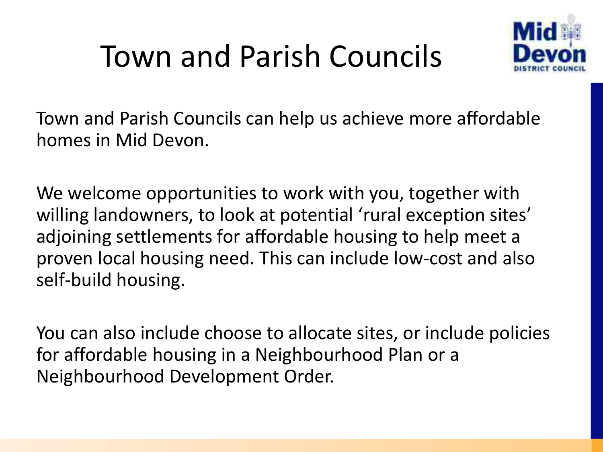### Town and Parish Councils



Town and Parish Councils can help us achieve more affordable homes in Mid Devon.

We welcome opportunities to work with you, together with willing landowners, to look at potential 'rural exception sites' adjoining settlements for affordable housing to help meet a proven local housing need. This can include low-cost and also self-build housing.

You can also include choose to allocate sites, or include policies for affordable housing in a Neighbourhood Plan or a Neighbourhood Development Order.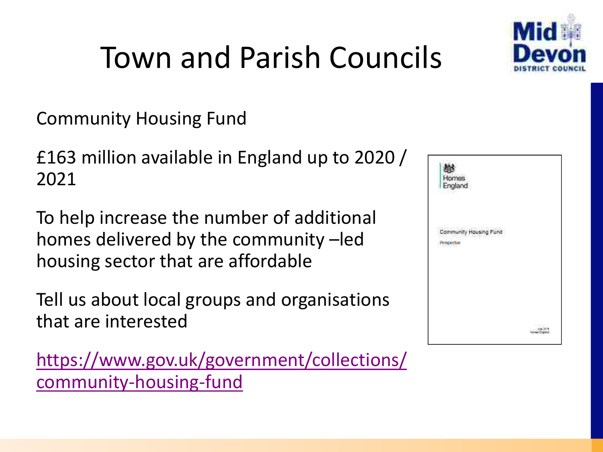

Community Housing Fund

£163 million available in England up to 2020 / 2021

To help increase the number of additional homes delivered by the community –led housing sector that are affordable

Tell us about local groups and organisations that are interested

[https://www.gov.uk/government/collections/](https://www.gov.uk/government/collections/community-housing-fund) [community-housing-fund](https://www.gov.uk/government/collections/community-housing-fund)

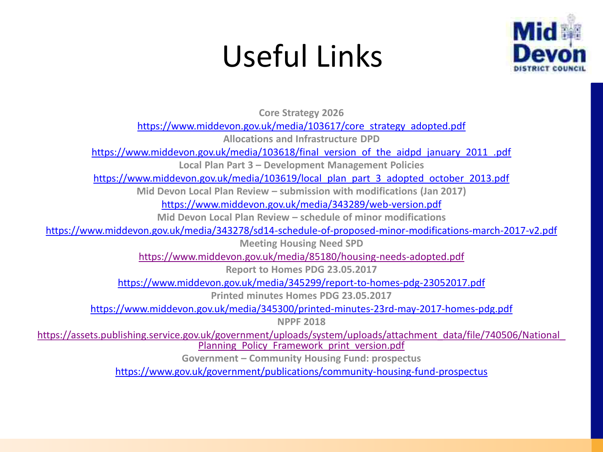### Useful Links



**Core Strategy 2026** 

[https://www.middevon.gov.uk/media/103617/core\\_strategy\\_adopted.pdf](https://www.middevon.gov.uk/media/103617/core_strategy_adopted.pdf)

**Allocations and Infrastructure DPD** 

[https://www.middevon.gov.uk/media/103618/final\\_version\\_of\\_the\\_aidpd\\_january\\_2011\\_.pdf](https://www.middevon.gov.uk/media/103618/final_version_of_the_aidpd_january_2011_.pdf)

**Local Plan Part 3 – Development Management Policies** 

[https://www.middevon.gov.uk/media/103619/local\\_plan\\_part\\_3\\_adopted\\_october\\_2013.pdf](https://www.middevon.gov.uk/media/103619/local_plan_part_3_adopted_october_2013.pdf)

**Mid Devon Local Plan Review – submission with modifications (Jan 2017)** 

<https://www.middevon.gov.uk/media/343289/web-version.pdf>

**Mid Devon Local Plan Review – schedule of minor modifications** 

<https://www.middevon.gov.uk/media/343278/sd14-schedule-of-proposed-minor-modifications-march-2017-v2.pdf>

**Meeting Housing Need SPD** 

<https://www.middevon.gov.uk/media/85180/housing-needs-adopted.pdf>

**Report to Homes PDG 23.05.2017** 

<https://www.middevon.gov.uk/media/345299/report-to-homes-pdg-23052017.pdf>

**Printed minutes Homes PDG 23.05.2017** 

<https://www.middevon.gov.uk/media/345300/printed-minutes-23rd-may-2017-homes-pdg.pdf>

**NPPF 2018** 

[https://assets.publishing.service.gov.uk/government/uploads/system/uploads/attachment\\_data/file/740506/National\\_](https://assets.publishing.service.gov.uk/government/uploads/system/uploads/attachment_data/file/740506/National_Planning_Policy_Framework_print_version.pdf) Planning Policy Framework print version.pdf

**Government – Community Housing Fund: prospectus** 

<https://www.gov.uk/government/publications/community-housing-fund-prospectus>